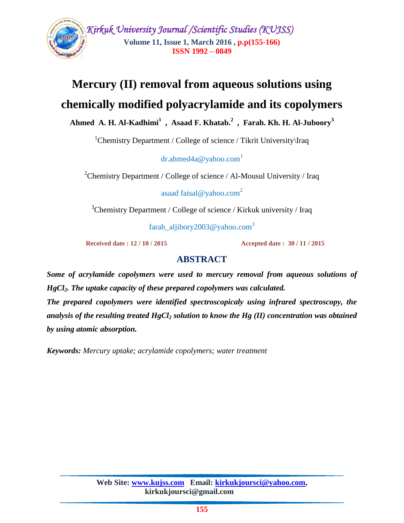

# **Mercury (II) removal from aqueous solutions using chemically modified polyacrylamide and its copolymers**

**Ahmed A. H. Al-Kadhimi<sup>1</sup> , Asaad F. Khatab. 2 , Farah. Kh. H. Al-Juboory<sup>3</sup>**

 $1$ Chemistry Department / College of science / Tikrit University \Iraq

dr.ahmed $4a@$  vahoo.com<sup>1</sup>

<sup>2</sup>Chemistry Department / College of science / Al-Mousul University / Iraq

asaad faisal@yahoo.com<sup>2</sup>

 $3$ Chemistry Department / College of science / Kirkuk university / Iraq

farah\_aljibory2003@yahoo.com<sup>3</sup>

 **Received date : 12 / 10 / 2015 Accepted date : 30 / 11 / 2015**

# **ABSTRACT**

*Some of acrylamide copolymers were used to mercury removal from aqueous solutions of HgCl2. The uptake capacity of these prepared copolymers was calculated.*

*The prepared copolymers were identified spectroscopicaly using infrared spectroscopy, the analysis of the resulting treated HgCl<sup>2</sup> solution to know the Hg (II) concentration was obtained by using atomic absorption.*

*Keywords: Mercury uptake; acrylamide copolymers; water treatment*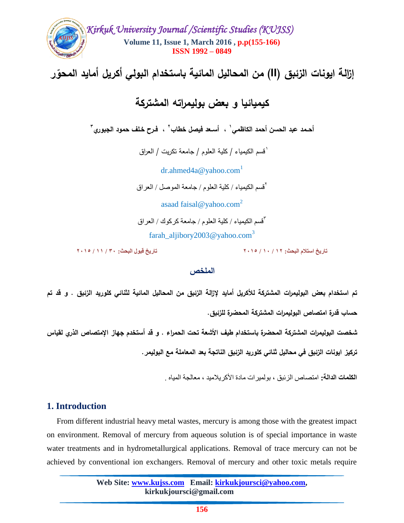

#### ا**لملخص**

**تم استخدام بعض البوليمرات المشتركة لألكريل أمايد إلزالة الزئبق من المحاليل المائية لثنائي كموريد الزئبق . و قد تم حساب قدرة امتصاص البوليمرات المشتركة المحضرة لمزئبق.**

**شخصت البوليمرات المشتركة المحضرة باستخدام طيف األشعة تحت الحمراء . و قد أستخدم جهاز اإلمتصاص الذري لقياس** 

**تركيز ايونات الزئبق في محاليل ثنائي كموريد الزئبق الناتجة بعد المعاممة مع البوليمر.**

**الكلمات الدالة:** اهتصاص الزئبق ، بولويراث هادة األكريالهيد ، هعالجت الوياه .

# **1. Introduction**

 From different industrial heavy metal wastes, mercury is among those with the greatest impact on environment. Removal of mercury from aqueous solution is of special importance in waste water treatments and in hydrometallurgical applications. Removal of trace mercury can not be achieved by conventional ion exchangers. Removal of mercury and other toxic metals require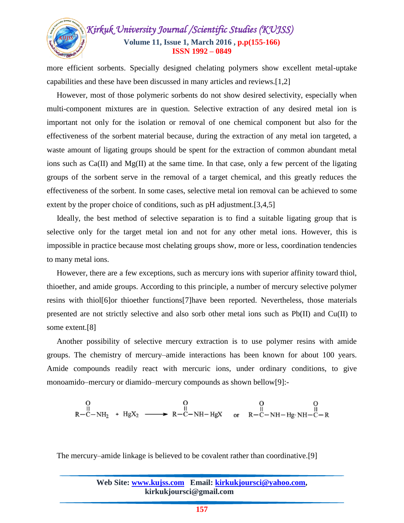

more efficient sorbents. Specially designed chelating polymers show excellent metal-uptake capabilities and these have been discussed in many articles and reviews.[1,2]

 However, most of those polymeric sorbents do not show desired selectivity, especially when multi-component mixtures are in question. Selective extraction of any desired metal ion is important not only for the isolation or removal of one chemical component but also for the effectiveness of the sorbent material because, during the extraction of any metal ion targeted, a waste amount of ligating groups should be spent for the extraction of common abundant metal ions such as Ca(II) and Mg(II) at the same time. In that case, only a few percent of the ligating groups of the sorbent serve in the removal of a target chemical, and this greatly reduces the effectiveness of the sorbent. In some cases, selective metal ion removal can be achieved to some extent by the proper choice of conditions, such as pH adjustment.[3,4,5]

 Ideally, the best method of selective separation is to find a suitable ligating group that is selective only for the target metal ion and not for any other metal ions. However, this is impossible in practice because most chelating groups show, more or less, coordination tendencies to many metal ions.

 However, there are a few exceptions, such as mercury ions with superior affinity toward thiol, thioether, and amide groups. According to this principle, a number of mercury selective polymer resins with thiol[6]or thioether functions[7]have been reported. Nevertheless, those materials presented are not strictly selective and also sorb other metal ions such as Pb(II) and Cu(II) to some extent.[8]

 Another possibility of selective mercury extraction is to use polymer resins with amide groups. The chemistry of mercury–amide interactions has been known for about 100 years. Amide compounds readily react with mercuric ions, under ordinary conditions, to give monoamido–mercury or diamido–mercury compounds as shown bellow[9]:-

$$
\begin{array}{ccc}\nO & O & O & O \\
\parallel & \parallel & \parallel & \parallel \\
R-C-NH_2 + HgX_2 \longrightarrow R-C-NH-HgX & \text{or} & R-C-NH-Hg\cdot NH-C-R\n\end{array}
$$

The mercury–amide linkage is believed to be covalent rather than coordinative.[9]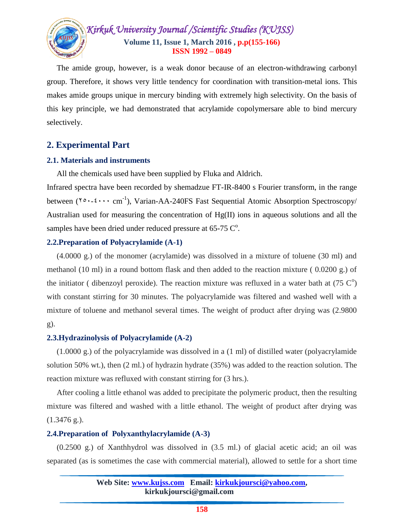

 The amide group, however, is a weak donor because of an electron-withdrawing carbonyl group. Therefore, it shows very little tendency for coordination with transition-metal ions. This makes amide groups unique in mercury binding with extremely high selectivity. On the basis of this key principle, we had demonstrated that acrylamide copolymersare able to bind mercury selectively.

# **2. Experimental Part**

## **2.1. Materials and instruments**

All the chemicals used have been supplied by Fluka and Aldrich.

Infrared spectra have been recorded by shemadzue FT-IR-8400 s Fourier transform, in the range between  $(1^{\circ} \cdot \cdot \cdot \cdot \text{ cm}^{-1})$ , Varian-AA-240FS Fast Sequential Atomic Absorption Spectroscopy/ Australian used for measuring the concentration of  $Hg(II)$  ions in aqueous solutions and all the samples have been dried under reduced pressure at  $65-75 \, \mathrm{C}^{\circ}$ .

## **2.2.Preparation of Polyacrylamide (A-1)**

 (4.0000 g.) of the monomer (acrylamide) was dissolved in a mixture of toluene (30 ml) and methanol (10 ml) in a round bottom flask and then added to the reaction mixture ( 0.0200 g.) of the initiator (dibenzoyl peroxide). The reaction mixture was refluxed in a water bath at  $(75 \, \text{C}^{\circ})$ with constant stirring for 30 minutes. The polyacrylamide was filtered and washed well with a mixture of toluene and methanol several times. The weight of product after drying was (2.9800 g).

#### **2.3.Hydrazinolysis of Polyacrylamide (A-2)**

 (1.0000 g.) of the polyacrylamide was dissolved in a (1 ml) of distilled water (polyacrylamide solution 50% wt.), then (2 ml.) of hydrazin hydrate (35%) was added to the reaction solution. The reaction mixture was refluxed with constant stirring for (3 hrs.).

 After cooling a little ethanol was added to precipitate the polymeric product, then the resulting mixture was filtered and washed with a little ethanol. The weight of product after drying was (1.3476 g.).

# **2.4.Preparation of Polyxanthylacrylamide (A-3)**

 (0.2500 g.) of Xanthhydrol was dissolved in (3.5 ml.) of glacial acetic acid; an oil was separated (as is sometimes the case with commercial material), allowed to settle for a short time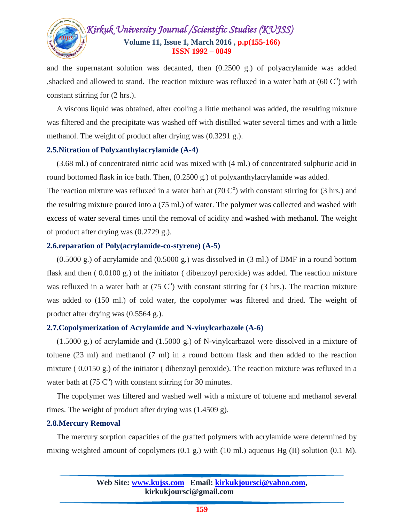

and the supernatant solution was decanted, then (0.2500 g.) of polyacrylamide was added , shacked and allowed to stand. The reaction mixture was refluxed in a water bath at  $(60 \, \text{C}^{\text{o}})$  with constant stirring for (2 hrs.).

 A viscous liquid was obtained, after cooling a little methanol was added, the resulting mixture was filtered and the precipitate was washed off with distilled water several times and with a little methanol. The weight of product after drying was (0.3291 g.).

#### **2.5.Nitration of Polyxanthylacrylamide (A-4)**

 (3.68 ml.) of concentrated nitric acid was mixed with (4 ml.) of concentrated sulphuric acid in round bottomed flask in ice bath. Then, (0.2500 g.) of polyxanthylacrylamide was added.

The reaction mixture was refluxed in a water bath at  $(70 \, \text{C}^{\text{o}})$  with constant stirring for  $(3 \text{ hrs.})$  and the resulting mixture poured into a (75 ml.) of water. The polymer was collected and washed with excess of water several times until the removal of acidity and washed with methanol. The weight of product after drying was (0.2729 g.).

#### **2.6.reparation of Poly(acrylamide-co-styrene) (A-5)**

 $(0.5000 \text{ g})$  of acrylamide and  $(0.5000 \text{ g})$  was dissolved in  $(3 \text{ ml})$  of DMF in a round bottom flask and then ( 0.0100 g.) of the initiator ( dibenzoyl peroxide) was added. The reaction mixture was refluxed in a water bath at  $(75 \text{ C}^{\circ})$  with constant stirring for  $(3 \text{ hrs.})$ . The reaction mixture was added to (150 ml.) of cold water, the copolymer was filtered and dried. The weight of product after drying was (0.5564 g.).

#### **2.7.Copolymerization of Acrylamide and N-vinylcarbazole (A-6)**

 (1.5000 g.) of acrylamide and (1.5000 g.) of N-vinylcarbazol were dissolved in a mixture of toluene (23 ml) and methanol (7 ml) in a round bottom flask and then added to the reaction mixture ( 0.0150 g.) of the initiator ( dibenzoyl peroxide). The reaction mixture was refluxed in a water bath at  $(75 \, \text{C}^{\text{o}})$  with constant stirring for 30 minutes.

 The copolymer was filtered and washed well with a mixture of toluene and methanol several times. The weight of product after drying was (1.4509 g).

#### **2.8.Mercury Removal**

 The mercury sorption capacities of the grafted polymers with acrylamide were determined by mixing weighted amount of copolymers  $(0.1 \text{ g})$  with  $(10 \text{ ml})$  aqueous Hg  $(II)$  solution  $(0.1 \text{ M})$ .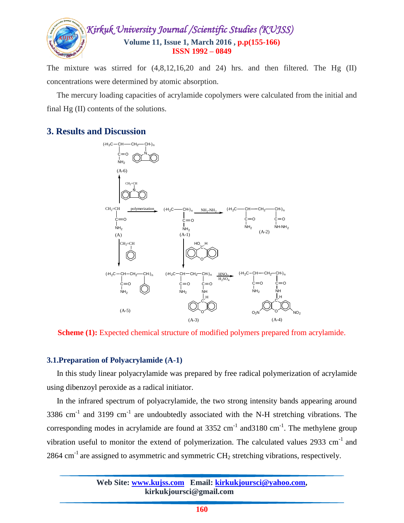

The mixture was stirred for (4,8,12,16,20 and 24) hrs. and then filtered. The Hg (II) concentrations were determined by atomic absorption.

 The mercury loading capacities of acrylamide copolymers were calculated from the initial and final Hg (II) contents of the solutions.

# **3. Results and Discussion**



**Scheme (1):** Expected chemical structure of modified polymers prepared from acrylamide.

#### **3.1.Preparation of Polyacrylamide (A-1)**

 In this study linear polyacrylamide was prepared by free radical polymerization of acrylamide using dibenzoyl peroxide as a radical initiator.

 In the infrared spectrum of polyacrylamide, the two strong intensity bands appearing around 3386 cm<sup>-1</sup> and 3199 cm<sup>-1</sup> are undoubtedly associated with the N-H stretching vibrations. The corresponding modes in acrylamide are found at  $3352 \text{ cm}^{-1}$  and  $3180 \text{ cm}^{-1}$ . The methylene group vibration useful to monitor the extend of polymerization. The calculated values  $2933 \text{ cm}^{-1}$  and 2864 cm<sup>-1</sup> are assigned to asymmetric and symmetric  $CH_2$  stretching vibrations, respectively.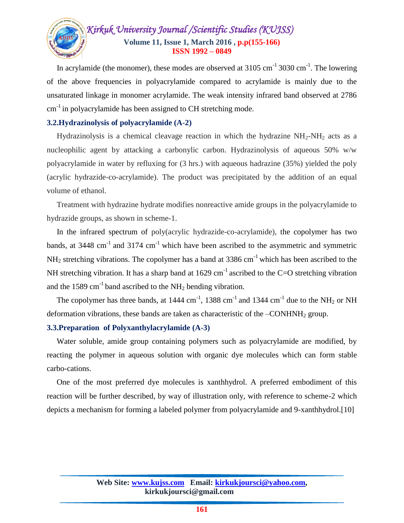

In acrylamide (the monomer), these modes are observed at  $3105 \text{ cm}^{-1}$   $3030 \text{ cm}^{-1}$ . The lowering of the above frequencies in polyacrylamide compared to acrylamide is mainly due to the unsaturated linkage in monomer acrylamide. The weak intensity infrared band observed at 2786  $cm<sup>-1</sup>$  in polyacrylamide has been assigned to CH stretching mode.

#### **3.2.Hydrazinolysis of polyacrylamide (A-2)**

Hydrazinolysis is a chemical cleavage reaction in which the hydrazine  $NH_2-NH_2$  acts as a nucleophilic agent by attacking a carbonylic carbon. Hydrazinolysis of aqueous 50% w/w polyacrylamide in water by refluxing for (3 hrs.) with aqueous hadrazine (35%) yielded the poly (acrylic hydrazide-co-acrylamide). The product was precipitated by the addition of an equal volume of ethanol.

 Treatment with hydrazine hydrate modifies nonreactive amide groups in the polyacrylamide to hydrazide groups, as shown in scheme-1.

 In the infrared spectrum of poly(acrylic hydrazide-co-acrylamide), the copolymer has two bands, at  $3448 \text{ cm}^{-1}$  and  $3174 \text{ cm}^{-1}$  which have been ascribed to the asymmetric and symmetric  $NH<sub>2</sub>$  stretching vibrations. The copolymer has a band at 3386 cm<sup>-1</sup> which has been ascribed to the NH stretching vibration. It has a sharp band at  $1629 \text{ cm}^{-1}$  ascribed to the C=O stretching vibration and the 1589  $\text{cm}^{-1}$  band ascribed to the NH<sub>2</sub> bending vibration.

The copolymer has three bands, at  $1444 \text{ cm}^{-1}$ ,  $1388 \text{ cm}^{-1}$  and  $1344 \text{ cm}^{-1}$  due to the NH<sub>2</sub> or NH deformation vibrations, these bands are taken as characteristic of the  $-CONHNH<sub>2</sub>$  group.

#### **3.3.Preparation of Polyxanthylacrylamide (A-3)**

 Water soluble, amide group containing polymers such as polyacrylamide are modified, by reacting the polymer in aqueous solution with organic dye molecules which can form stable carbo-cations.

 One of the most preferred dye molecules is xanthhydrol. A preferred embodiment of this reaction will be further described, by way of illustration only, with reference to scheme-2 which depicts a mechanism for forming a labeled polymer from polyacrylamide and 9-xanthhydrol.[10]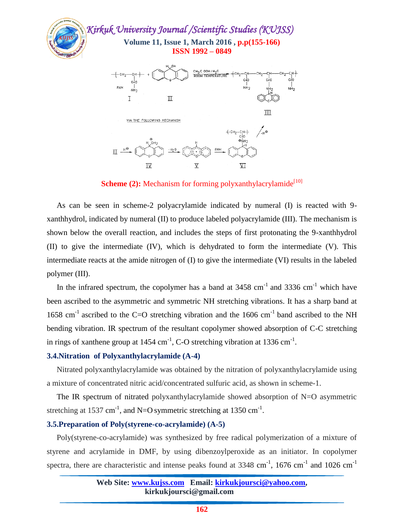

**Scheme** (2): Mechanism for forming polyxanthylacrylamide<sup>[10]</sup>

 As can be seen in scheme-2 polyacrylamide indicated by numeral (I) is reacted with 9 xanthhydrol, indicated by numeral (II) to produce labeled polyacrylamide (III). The mechanism is shown below the overall reaction, and includes the steps of first protonating the 9-xanthhydrol (II) to give the intermediate (IV), which is dehydrated to form the intermediate (V). This intermediate reacts at the amide nitrogen of (I) to give the intermediate (VI) results in the labeled polymer (III).

In the infrared spectrum, the copolymer has a band at  $3458 \text{ cm}^{-1}$  and  $3336 \text{ cm}^{-1}$  which have been ascribed to the asymmetric and symmetric NH stretching vibrations. It has a sharp band at 1658 cm<sup>-1</sup> ascribed to the C=O stretching vibration and the 1606 cm<sup>-1</sup> band ascribed to the NH bending vibration. IR spectrum of the resultant copolymer showed absorption of C-C stretching in rings of xanthene group at  $1454 \text{ cm}^{-1}$ , C-O stretching vibration at 1336 cm<sup>-1</sup>.

#### **3.4.Nitration of Polyxanthylacrylamide (A-4)**

 Nitrated polyxanthylacrylamide was obtained by the nitration of polyxanthylacrylamide using a mixture of concentrated nitric acid/concentrated sulfuric acid, as shown in scheme-1.

 The IR spectrum of nitrated polyxanthylacrylamide showed absorption of N=O asymmetric stretching at 1537 cm<sup>-1</sup>, and N=O symmetric stretching at 1350 cm<sup>-1</sup>.

#### **3.5.Preparation of Poly(styrene-co-acrylamide) (A-5)**

 Poly(styrene-co-acrylamide) was synthesized by free radical polymerization of a mixture of styrene and acrylamide in DMF, by using dibenzoylperoxide as an initiator. In copolymer spectra, there are characteristic and intense peaks found at  $3348 \text{ cm}^{-1}$ ,  $1676 \text{ cm}^{-1}$  and  $1026 \text{ cm}^{-1}$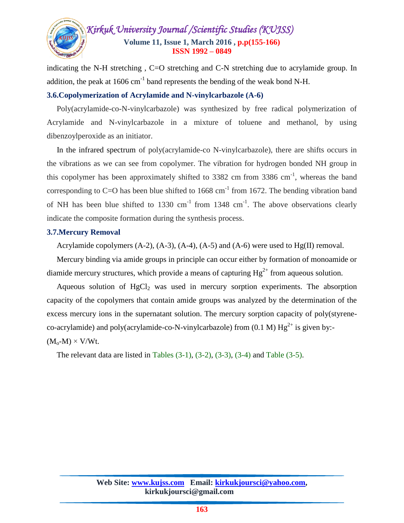

indicating the N-H stretching, C=O stretching and C-N stretching due to acrylamide group. In addition, the peak at 1606 cm<sup>-1</sup> band represents the bending of the weak bond N-H.

#### **3.6.Copolymerization of Acrylamide and N-vinylcarbazole (A-6)**

 Poly(acrylamide-co-N-vinylcarbazole) was synthesized by free radical polymerization of Acrylamide and N-vinylcarbazole in a mixture of toluene and methanol, by using dibenzoylperoxide as an initiator.

 In the infrared spectrum of poly(acrylamide-co N-vinylcarbazole), there are shifts occurs in the vibrations as we can see from copolymer. The vibration for hydrogen bonded NH group in this copolymer has been approximately shifted to  $3382$  cm from  $3386$  cm<sup>-1</sup>, whereas the band corresponding to C=O has been blue shifted to  $1668 \text{ cm}^{-1}$  from 1672. The bending vibration band of NH has been blue shifted to 1330 cm<sup>-1</sup> from 1348 cm<sup>-1</sup>. The above observations clearly indicate the composite formation during the synthesis process.

#### **3.7.Mercury Removal**

Acrylamide copolymers  $(A-2)$ ,  $(A-3)$ ,  $(A-4)$ ,  $(A-5)$  and  $(A-6)$  were used to Hg(II) removal.

 Mercury binding via amide groups in principle can occur either by formation of monoamide or diamide mercury structures, which provide a means of capturing  $Hg^{2+}$  from aqueous solution.

Aqueous solution of  $HgCl<sub>2</sub>$  was used in mercury sorption experiments. The absorption capacity of the copolymers that contain amide groups was analyzed by the determination of the excess mercury ions in the supernatant solution. The mercury sorption capacity of poly(styreneco-acrylamide) and poly(acrylamide-co-N-vinylcarbazole) from  $(0.1 \text{ M}) \text{ Hg}^{2+}$  is given by:- $(M_o-M) \times V/Wt.$ 

The relevant data are listed in Tables  $(3-1)$ ,  $(3-2)$ ,  $(3-3)$ ,  $(3-4)$  and Table  $(3-5)$ .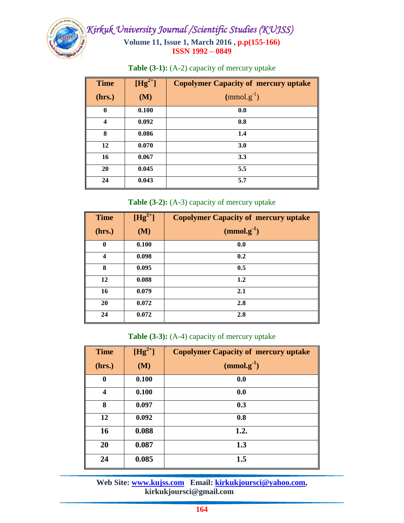

| <b>Time</b> | $[Hg^{2+}]$ | <b>Copolymer Capacity of mercury uptake</b> |
|-------------|-------------|---------------------------------------------|
| (hrs.)      | (M)         | $(mmol.g^{-1})$                             |
| $\bf{0}$    | 0.100       | 0.0                                         |
| 4           | 0.092       | 0.8                                         |
| 8           | 0.086       | 1.4                                         |
| 12          | 0.070       | 3.0                                         |
| 16          | 0.067       | 3.3                                         |
| 20          | 0.045       | 5.5                                         |
| 24          | 0.043       | 5.7                                         |

**Table (3-1):** (A-2) capacity of mercury uptake

**Table (3-2):** (A-3) capacity of mercury uptake

| <b>Time</b>             | $[Hg^{2+}]$ | <b>Copolymer Capacity of mercury uptake</b> |
|-------------------------|-------------|---------------------------------------------|
| (hrs.)                  | (M)         | $(mmol.g^{-1})$                             |
| $\boldsymbol{0}$        | 0.100       | 0.0                                         |
| $\overline{\mathbf{4}}$ | 0.098       | 0.2                                         |
| 8                       | 0.095       | 0.5                                         |
| 12                      | 0.088       | 1.2                                         |
| 16                      | 0.079       | 2.1                                         |
| 20                      | 0.072       | 2.8                                         |
| 24                      | 0.072       | 2.8                                         |

**Table (3-3):** (A-4) capacity of mercury uptake

| <b>Time</b> | $[Hg^{2+}]$ | <b>Copolymer Capacity of mercury uptake</b> |
|-------------|-------------|---------------------------------------------|
| (hrs.)      | (M)         | $(mmol.g^{-1})$                             |
| $\bf{0}$    | 0.100       | 0.0                                         |
| 4           | 0.100       | 0.0                                         |
| 8           | 0.097       | 0.3                                         |
| 12          | 0.092       | 0.8                                         |
| 16          | 0.088       | 1.2.                                        |
| 20          | 0.087       | 1.3                                         |
| 24          | 0.085       | 1.5                                         |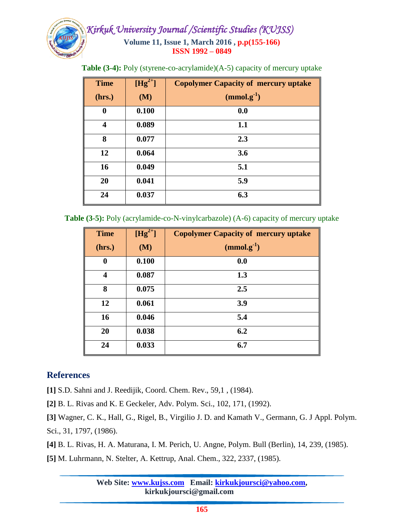

**Table (3-4):** Poly (styrene-co-acrylamide)(A-5) capacity of mercury uptake

| <b>Time</b> | $[Hg^{2+}]$ | <b>Copolymer Capacity of mercury uptake</b> |
|-------------|-------------|---------------------------------------------|
| (hrs.)      | (M)         | $(mmol.g^{-1})$                             |
| $\bf{0}$    | 0.100       | 0.0                                         |
| 4           | 0.089       | 1.1                                         |
| 8           | 0.077       | 2.3                                         |
| 12          | 0.064       | 3.6                                         |
| 16          | 0.049       | 5.1                                         |
| 20          | 0.041       | 5.9                                         |
| 24          | 0.037       | 6.3                                         |

**Table (3-5):** Poly (acrylamide-co-N-vinylcarbazole) (A-6) capacity of mercury uptake

| <b>Time</b>      | $[Hg^{2+}]$ | <b>Copolymer Capacity of mercury uptake</b> |
|------------------|-------------|---------------------------------------------|
| (hrs.)           | (M)         | $(mmol.g^{-1})$                             |
| $\boldsymbol{0}$ | 0.100       | 0.0                                         |
| $\boldsymbol{4}$ | 0.087       | 1.3                                         |
| 8                | 0.075       | 2.5                                         |
| 12               | 0.061       | 3.9                                         |
| 16               | 0.046       | 5.4                                         |
| 20               | 0.038       | 6.2                                         |
| 24               | 0.033       | 6.7                                         |

# **References**

**[1]** S.D. Sahni and J. Reedijik, Coord. Chem. Rev., 59,1 , (1984).

**[2]** B. L. Rivas and K. E Geckeler, Adv. Polym. Sci., 102, 171, (1992).

**[3]** Wagner, C. K., Hall, G., Rigel, B., Virgilio J. D. and Kamath V., Germann, G. J Appl. Polym. Sci., 31, 1797, (1986).

**[4]** B. L. Rivas, H. A. Maturana, I. M. Perich, U. Angne, Polym. Bull (Berlin), 14, 239, (1985).

**[5]** M. Luhrmann, N. Stelter, A. Kettrup, Anal. Chem., 322, 2337, (1985).